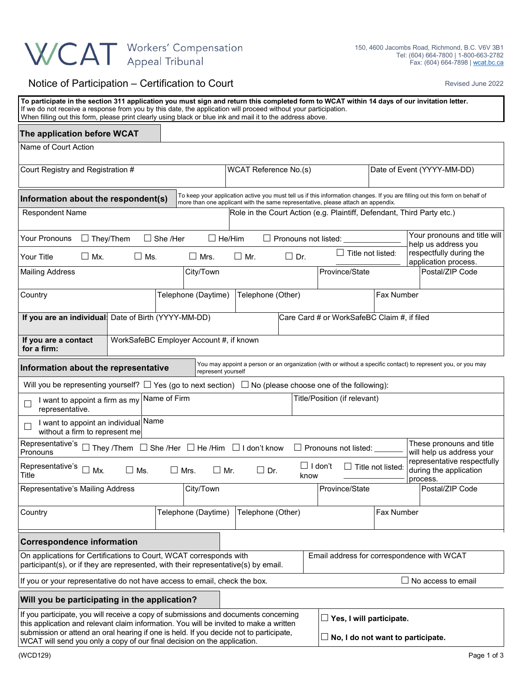## WCAT Workers' Compensation

## Notice of Participation – Certification to Court **Revised June 2022** Revised June 2022

| To participate in the section 311 application you must sign and return this completed form to WCAT within 14 days of our invitation letter.<br>If we do not receive a response from you by this date, the application will proceed without your participation.<br>When filling out this form, please print clearly using black or blue ink and mail it to the address above. |                                         |                                                                                  |                                                                             |                            |                                                                                                                             |
|------------------------------------------------------------------------------------------------------------------------------------------------------------------------------------------------------------------------------------------------------------------------------------------------------------------------------------------------------------------------------|-----------------------------------------|----------------------------------------------------------------------------------|-----------------------------------------------------------------------------|----------------------------|-----------------------------------------------------------------------------------------------------------------------------|
| The application before WCAT                                                                                                                                                                                                                                                                                                                                                  |                                         |                                                                                  |                                                                             |                            |                                                                                                                             |
| Name of Court Action                                                                                                                                                                                                                                                                                                                                                         |                                         |                                                                                  |                                                                             |                            |                                                                                                                             |
| Court Registry and Registration #                                                                                                                                                                                                                                                                                                                                            |                                         | WCAT Reference No.(s)                                                            |                                                                             | Date of Event (YYYY-MM-DD) |                                                                                                                             |
| Information about the respondent(s)                                                                                                                                                                                                                                                                                                                                          |                                         | more than one applicant with the same representative, please attach an appendix. |                                                                             |                            | To keep your application active you must tell us if this information changes. If you are filling out this form on behalf of |
| <b>Respondent Name</b>                                                                                                                                                                                                                                                                                                                                                       |                                         | Role in the Court Action (e.g. Plaintiff, Defendant, Third Party etc.)           |                                                                             |                            |                                                                                                                             |
| $\Box$ They/Them<br>Your Pronouns                                                                                                                                                                                                                                                                                                                                            | $\Box$ She /Her<br>$\Box$ He/Him        |                                                                                  | $\Box$ Pronouns not listed: $\_$                                            |                            | Your pronouns and title will<br>help us address you                                                                         |
| $\Box$ Mx.<br>Your Title<br>$\square$ Ms.                                                                                                                                                                                                                                                                                                                                    | $\Box$ Mrs.                             | $\Box$ Mr.<br>$\Box$ Dr.                                                         | $\Box$ Title not listed:                                                    |                            | respectfully during the<br>application process.                                                                             |
| <b>Mailing Address</b>                                                                                                                                                                                                                                                                                                                                                       | City/Town                               |                                                                                  | Province/State                                                              |                            | Postal/ZIP Code                                                                                                             |
| Country                                                                                                                                                                                                                                                                                                                                                                      | Telephone (Daytime)                     | Telephone (Other)                                                                |                                                                             | Fax Number                 |                                                                                                                             |
| If you are an individual Date of Birth (YYYY-MM-DD)                                                                                                                                                                                                                                                                                                                          |                                         |                                                                                  | Care Card # or WorkSafeBC Claim #, if filed                                 |                            |                                                                                                                             |
| If you are a contact<br>for a firm:                                                                                                                                                                                                                                                                                                                                          | WorkSafeBC Employer Account #, if known |                                                                                  |                                                                             |                            |                                                                                                                             |
| Information about the representative                                                                                                                                                                                                                                                                                                                                         | represent yourself                      |                                                                                  |                                                                             |                            | You may appoint a person or an organization (with or without a specific contact) to represent you, or you may               |
| Will you be representing yourself? $\Box$ Yes (go to next section) $\Box$ No (please choose one of the following):                                                                                                                                                                                                                                                           |                                         |                                                                                  |                                                                             |                            |                                                                                                                             |
| I want to appoint a firm as my Name of Firm<br>representative.                                                                                                                                                                                                                                                                                                               |                                         |                                                                                  | Title/Position (if relevant)                                                |                            |                                                                                                                             |
| Name<br>I want to appoint an individual<br>without a firm to represent me                                                                                                                                                                                                                                                                                                    |                                         |                                                                                  |                                                                             |                            |                                                                                                                             |
| Representative's $\Box$ They /Them $\Box$ She /Her $\Box$ He /Him $\Box$ I don't know<br>Pronouns                                                                                                                                                                                                                                                                            |                                         |                                                                                  | $\Box$ Pronouns not listed:                                                 |                            | These pronouns and title<br>will help us address your                                                                       |
| Representative's<br>$\Box$ Mx.<br>$\square$ Ms.<br>Title                                                                                                                                                                                                                                                                                                                     | $\Box$ Mrs.<br>$\Box$ Mr.               | $\Box$ Dr.                                                                       | ∟ I don't<br>know                                                           | $\Box$ Title not listed:   | representative respectfully<br>during the application<br>process.                                                           |
| Representative's Mailing Address                                                                                                                                                                                                                                                                                                                                             | City/Town                               |                                                                                  | Province/State                                                              |                            | Postal/ZIP Code                                                                                                             |
| Country                                                                                                                                                                                                                                                                                                                                                                      | Telephone (Daytime)                     | Telephone (Other)                                                                |                                                                             | Fax Number                 |                                                                                                                             |
| <b>Correspondence information</b>                                                                                                                                                                                                                                                                                                                                            |                                         |                                                                                  |                                                                             |                            |                                                                                                                             |
| On applications for Certifications to Court, WCAT corresponds with<br>participant(s), or if they are represented, with their representative(s) by email.                                                                                                                                                                                                                     |                                         |                                                                                  |                                                                             |                            | Email address for correspondence with WCAT                                                                                  |
| If you or your representative do not have access to email, check the box.                                                                                                                                                                                                                                                                                                    |                                         |                                                                                  |                                                                             |                            | $\Box$ No access to email                                                                                                   |
| Will you be participating in the application?                                                                                                                                                                                                                                                                                                                                |                                         |                                                                                  |                                                                             |                            |                                                                                                                             |
| If you participate, you will receive a copy of submissions and documents concerning<br>this application and relevant claim information. You will be invited to make a written<br>submission or attend an oral hearing if one is held. If you decide not to participate,<br>WCAT will send you only a copy of our final decision on the application.                          |                                         |                                                                                  | $\Box$ Yes, I will participate.<br>$\Box$ No, I do not want to participate. |                            |                                                                                                                             |
| (WCD129)                                                                                                                                                                                                                                                                                                                                                                     |                                         |                                                                                  |                                                                             |                            | Page 1 of 3                                                                                                                 |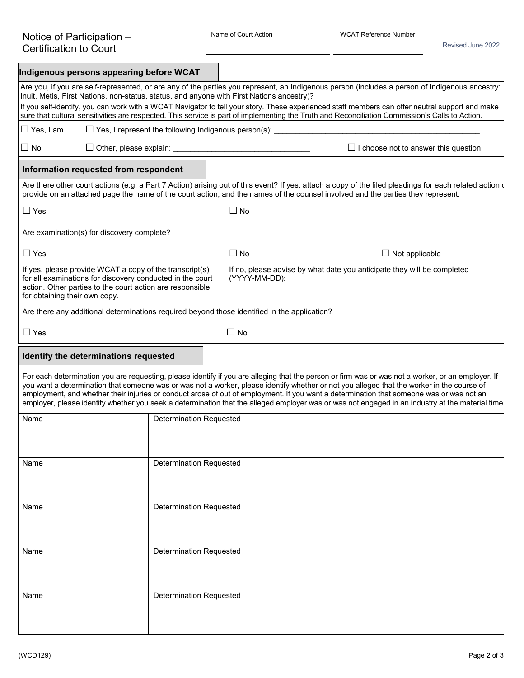| Indigenous persons appearing before WCAT |                                                                                                                                                                                   |                                |                                                                                                                                                                                                                                                                                                                                                                                                                                                                                                                                                                                                 |
|------------------------------------------|-----------------------------------------------------------------------------------------------------------------------------------------------------------------------------------|--------------------------------|-------------------------------------------------------------------------------------------------------------------------------------------------------------------------------------------------------------------------------------------------------------------------------------------------------------------------------------------------------------------------------------------------------------------------------------------------------------------------------------------------------------------------------------------------------------------------------------------------|
|                                          |                                                                                                                                                                                   |                                | Are you, if you are self-represented, or are any of the parties you represent, an Indigenous person (includes a person of Indigenous ancestry:<br>Inuit, Metis, First Nations, non-status, status, and anyone with First Nations ancestry)?                                                                                                                                                                                                                                                                                                                                                     |
|                                          |                                                                                                                                                                                   |                                | If you self-identify, you can work with a WCAT Navigator to tell your story. These experienced staff members can offer neutral support and make<br>sure that cultural sensitivities are respected. This service is part of implementing the Truth and Reconciliation Commission's Calls to Action.                                                                                                                                                                                                                                                                                              |
| $\Box$ Yes, I am                         | $\Box$ Yes, I represent the following Indigenous person(s):                                                                                                                       |                                |                                                                                                                                                                                                                                                                                                                                                                                                                                                                                                                                                                                                 |
| $\square$ No                             |                                                                                                                                                                                   |                                | $\Box$ I choose not to answer this question                                                                                                                                                                                                                                                                                                                                                                                                                                                                                                                                                     |
|                                          | Information requested from respondent                                                                                                                                             |                                |                                                                                                                                                                                                                                                                                                                                                                                                                                                                                                                                                                                                 |
|                                          |                                                                                                                                                                                   |                                | Are there other court actions (e.g. a Part 7 Action) arising out of this event? If yes, attach a copy of the filed pleadings for each related action of<br>provide on an attached page the name of the court action, and the names of the counsel involved and the parties they represent.                                                                                                                                                                                                                                                                                                      |
| $\Box$ Yes                               |                                                                                                                                                                                   |                                | $\Box$ No                                                                                                                                                                                                                                                                                                                                                                                                                                                                                                                                                                                       |
|                                          | Are examination(s) for discovery complete?                                                                                                                                        |                                |                                                                                                                                                                                                                                                                                                                                                                                                                                                                                                                                                                                                 |
| $\Box$ Yes                               |                                                                                                                                                                                   |                                | $\Box$ No<br>$\Box$ Not applicable                                                                                                                                                                                                                                                                                                                                                                                                                                                                                                                                                              |
| for obtaining their own copy.            | If yes, please provide WCAT a copy of the transcript(s)<br>for all examinations for discovery conducted in the court<br>action. Other parties to the court action are responsible |                                | If no, please advise by what date you anticipate they will be completed<br>(YYYY-MM-DD):                                                                                                                                                                                                                                                                                                                                                                                                                                                                                                        |
|                                          |                                                                                                                                                                                   |                                | Are there any additional determinations required beyond those identified in the application?                                                                                                                                                                                                                                                                                                                                                                                                                                                                                                    |
| $\Box$ Yes                               |                                                                                                                                                                                   |                                | $\Box$ No                                                                                                                                                                                                                                                                                                                                                                                                                                                                                                                                                                                       |
|                                          | Identify the determinations requested                                                                                                                                             |                                |                                                                                                                                                                                                                                                                                                                                                                                                                                                                                                                                                                                                 |
|                                          |                                                                                                                                                                                   |                                | For each determination you are requesting, please identify if you are alleging that the person or firm was or was not a worker, or an employer. If<br>you want a determination that someone was or was not a worker, please identify whether or not you alleged that the worker in the course of<br>employment, and whether their injuries or conduct arose of out of employment. If you want a determination that someone was or was not an<br>employer, please identify whether you seek a determination that the alleged employer was or was not engaged in an industry at the material time |
| Name                                     |                                                                                                                                                                                   | <b>Determination Requested</b> |                                                                                                                                                                                                                                                                                                                                                                                                                                                                                                                                                                                                 |
|                                          |                                                                                                                                                                                   |                                |                                                                                                                                                                                                                                                                                                                                                                                                                                                                                                                                                                                                 |
| Name                                     |                                                                                                                                                                                   | <b>Determination Requested</b> |                                                                                                                                                                                                                                                                                                                                                                                                                                                                                                                                                                                                 |
|                                          |                                                                                                                                                                                   |                                |                                                                                                                                                                                                                                                                                                                                                                                                                                                                                                                                                                                                 |
| Name                                     |                                                                                                                                                                                   | <b>Determination Requested</b> |                                                                                                                                                                                                                                                                                                                                                                                                                                                                                                                                                                                                 |
|                                          |                                                                                                                                                                                   |                                |                                                                                                                                                                                                                                                                                                                                                                                                                                                                                                                                                                                                 |
| Name                                     |                                                                                                                                                                                   | <b>Determination Requested</b> |                                                                                                                                                                                                                                                                                                                                                                                                                                                                                                                                                                                                 |
| Name                                     |                                                                                                                                                                                   | <b>Determination Requested</b> |                                                                                                                                                                                                                                                                                                                                                                                                                                                                                                                                                                                                 |
|                                          |                                                                                                                                                                                   |                                |                                                                                                                                                                                                                                                                                                                                                                                                                                                                                                                                                                                                 |
|                                          |                                                                                                                                                                                   |                                |                                                                                                                                                                                                                                                                                                                                                                                                                                                                                                                                                                                                 |